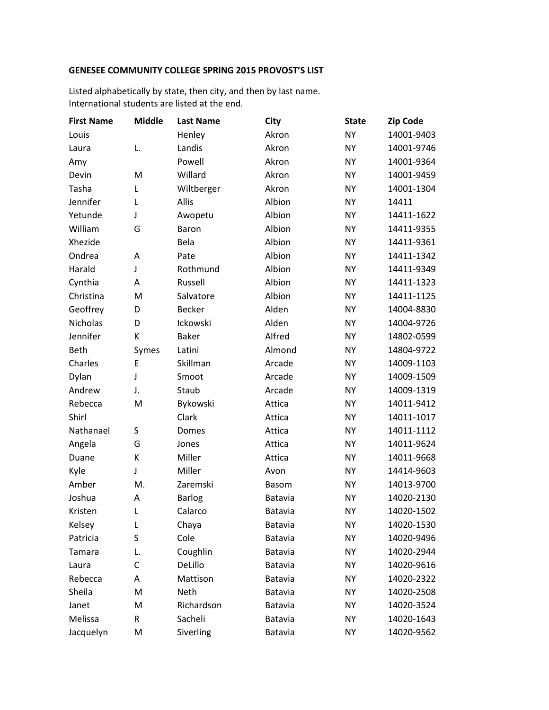## **GENESEE COMMUNITY COLLEGE SPRING 2015 PROVOST'S LIST**

Listed alphabetically by state, then city, and then by last name. International students are listed at the end.

| <b>First Name</b> | <b>Middle</b> | <b>Last Name</b> | City           | <b>State</b> | <b>Zip Code</b> |
|-------------------|---------------|------------------|----------------|--------------|-----------------|
| Louis             |               | Henley           | Akron          | <b>NY</b>    | 14001-9403      |
| Laura             | L.            | Landis           | Akron          | <b>NY</b>    | 14001-9746      |
| Amy               |               | Powell           | Akron          | <b>NY</b>    | 14001-9364      |
| Devin             | M             | Willard          | Akron          | <b>NY</b>    | 14001-9459      |
| Tasha             | L             | Wiltberger       | Akron          | <b>NY</b>    | 14001-1304      |
| Jennifer          | Г             | Allis            | Albion         | <b>NY</b>    | 14411           |
| Yetunde           | J             | Awopetu          | Albion         | <b>NY</b>    | 14411-1622      |
| William           | G             | Baron            | Albion         | <b>NY</b>    | 14411-9355      |
| Xhezide           |               | Bela             | Albion         | <b>NY</b>    | 14411-9361      |
| Ondrea            | A             | Pate             | Albion         | <b>NY</b>    | 14411-1342      |
| Harald            | J             | Rothmund         | Albion         | <b>NY</b>    | 14411-9349      |
| Cynthia           | A             | Russell          | Albion         | <b>NY</b>    | 14411-1323      |
| Christina         | M             | Salvatore        | Albion         | <b>NY</b>    | 14411-1125      |
| Geoffrey          | D             | <b>Becker</b>    | Alden          | <b>NY</b>    | 14004-8830      |
| <b>Nicholas</b>   | D             | Ickowski         | Alden          | <b>NY</b>    | 14004-9726      |
| Jennifer          | К             | <b>Baker</b>     | Alfred         | <b>NY</b>    | 14802-0599      |
| Beth              | Symes         | Latini           | Almond         | <b>NY</b>    | 14804-9722      |
| Charles           | E             | Skillman         | Arcade         | <b>NY</b>    | 14009-1103      |
| Dylan             | J             | Smoot            | Arcade         | <b>NY</b>    | 14009-1509      |
| Andrew            | J.            | Staub            | Arcade         | <b>NY</b>    | 14009-1319      |
| Rebecca           | M             | Bykowski         | Attica         | <b>NY</b>    | 14011-9412      |
| Shirl             |               | Clark            | Attica         | <b>NY</b>    | 14011-1017      |
| Nathanael         | S             | Domes            | Attica         | <b>NY</b>    | 14011-1112      |
| Angela            | G             | Jones            | Attica         | <b>NY</b>    | 14011-9624      |
| Duane             | К             | Miller           | Attica         | <b>NY</b>    | 14011-9668      |
| Kyle              | J             | Miller           | Avon           | <b>NY</b>    | 14414-9603      |
| Amber             | M.            | Zaremski         | <b>Basom</b>   | <b>NY</b>    | 14013-9700      |
| Joshua            | Α             | Barlog           | Batavia        | <b>NY</b>    | 14020-2130      |
| Kristen           | L             | Calarco          | Batavia        | <b>NY</b>    | 14020-1502      |
| Kelsey            | L             | Chaya            | <b>Batavia</b> | <b>NY</b>    | 14020-1530      |
| Patricia          | S             | Cole             | Batavia        | <b>NY</b>    | 14020-9496      |
| <b>Tamara</b>     | L.            | Coughlin         | Batavia        | <b>NY</b>    | 14020-2944      |
| Laura             | $\mathsf{C}$  | DeLillo          | Batavia        | <b>NY</b>    | 14020-9616      |
| Rebecca           | Α             | Mattison         | Batavia        | <b>NY</b>    | 14020-2322      |
| Sheila            | M             | Neth             | Batavia        | <b>NY</b>    | 14020-2508      |
| Janet             | M             | Richardson       | Batavia        | <b>NY</b>    | 14020-3524      |
| Melissa           | R             | Sacheli          | Batavia        | <b>NY</b>    | 14020-1643      |
| Jacquelyn         | M             | Siverling        | Batavia        | <b>NY</b>    | 14020-9562      |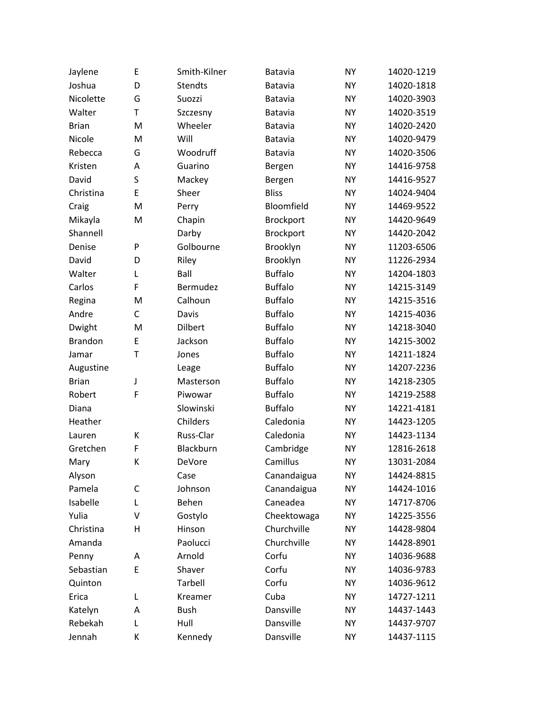| Jaylene        | E           | Smith-Kilner   | Batavia        | <b>NY</b> | 14020-1219 |
|----------------|-------------|----------------|----------------|-----------|------------|
| Joshua         | D           | <b>Stendts</b> | Batavia        | <b>NY</b> | 14020-1818 |
| Nicolette      | G           | Suozzi         | Batavia        | <b>NY</b> | 14020-3903 |
| Walter         | $\mathsf T$ | Szczesny       | Batavia        | <b>NY</b> | 14020-3519 |
| <b>Brian</b>   | M           | Wheeler        | Batavia        | <b>NY</b> | 14020-2420 |
| Nicole         | M           | Will           | Batavia        | <b>NY</b> | 14020-9479 |
| Rebecca        | G           | Woodruff       | Batavia        | <b>NY</b> | 14020-3506 |
| Kristen        | A           | Guarino        | Bergen         | <b>NY</b> | 14416-9758 |
| David          | S           | Mackey         | Bergen         | <b>NY</b> | 14416-9527 |
| Christina      | E           | Sheer          | <b>Bliss</b>   | <b>NY</b> | 14024-9404 |
| Craig          | M           | Perry          | Bloomfield     | <b>NY</b> | 14469-9522 |
| Mikayla        | M           | Chapin         | Brockport      | <b>NY</b> | 14420-9649 |
| Shannell       |             | Darby          | Brockport      | <b>NY</b> | 14420-2042 |
| Denise         | P           | Golbourne      | Brooklyn       | <b>NY</b> | 11203-6506 |
| David          | D           | Riley          | Brooklyn       | <b>NY</b> | 11226-2934 |
| Walter         | L           | Ball           | <b>Buffalo</b> | <b>NY</b> | 14204-1803 |
| Carlos         | F           | Bermudez       | <b>Buffalo</b> | <b>NY</b> | 14215-3149 |
| Regina         | M           | Calhoun        | <b>Buffalo</b> | <b>NY</b> | 14215-3516 |
| Andre          | C           | Davis          | <b>Buffalo</b> | <b>NY</b> | 14215-4036 |
| Dwight         | M           | <b>Dilbert</b> | <b>Buffalo</b> | <b>NY</b> | 14218-3040 |
| <b>Brandon</b> | E           | Jackson        | <b>Buffalo</b> | <b>NY</b> | 14215-3002 |
| Jamar          | $\mathsf T$ | Jones          | <b>Buffalo</b> | <b>NY</b> | 14211-1824 |
| Augustine      |             | Leage          | <b>Buffalo</b> | <b>NY</b> | 14207-2236 |
| <b>Brian</b>   | J           | Masterson      | <b>Buffalo</b> | <b>NY</b> | 14218-2305 |
| Robert         | F           | Piwowar        | <b>Buffalo</b> | <b>NY</b> | 14219-2588 |
| Diana          |             | Slowinski      | <b>Buffalo</b> | <b>NY</b> | 14221-4181 |
| Heather        |             | Childers       | Caledonia      | <b>NY</b> | 14423-1205 |
| Lauren         | К           | Russ-Clar      | Caledonia      | <b>NY</b> | 14423-1134 |
| Gretchen       | F           | Blackburn      | Cambridge      | <b>NY</b> | 12816-2618 |
| Mary           | К           | DeVore         | Camillus       | <b>NY</b> | 13031-2084 |
| Alyson         |             | Case           | Canandaigua    | <b>NY</b> | 14424-8815 |
| Pamela         | C           | Johnson        | Canandaigua    | <b>NY</b> | 14424-1016 |
| Isabelle       | L           | Behen          | Caneadea       | <b>NY</b> | 14717-8706 |
| Yulia          | ٧           | Gostylo        | Cheektowaga    | <b>NY</b> | 14225-3556 |
| Christina      | Η           | Hinson         | Churchville    | <b>NY</b> | 14428-9804 |
| Amanda         |             | Paolucci       | Churchville    | <b>NY</b> | 14428-8901 |
| Penny          | Α           | Arnold         | Corfu          | <b>NY</b> | 14036-9688 |
| Sebastian      | E           | Shaver         | Corfu          | <b>NY</b> | 14036-9783 |
| Quinton        |             | Tarbell        | Corfu          | <b>NY</b> | 14036-9612 |
| Erica          | L           | Kreamer        | Cuba           | <b>NY</b> | 14727-1211 |
| Katelyn        | Α           | <b>Bush</b>    | Dansville      | <b>NY</b> | 14437-1443 |
| Rebekah        | L           | Hull           | Dansville      | <b>NY</b> | 14437-9707 |
| Jennah         | К           | Kennedy        | Dansville      | <b>NY</b> | 14437-1115 |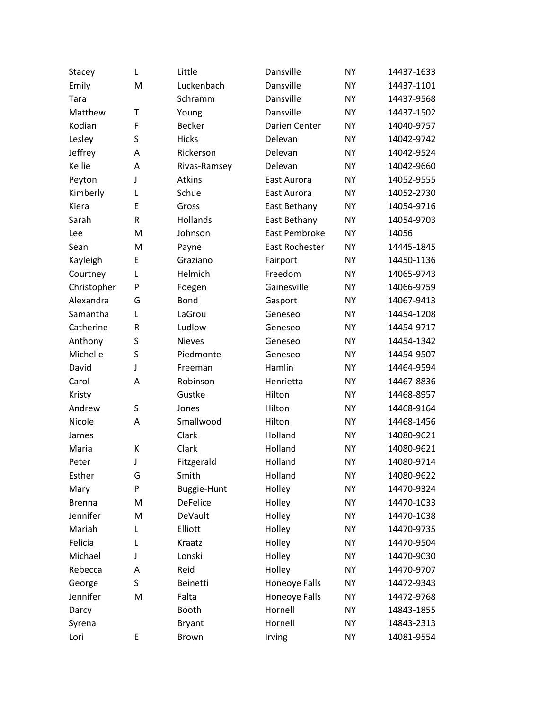| Stacey        | L         | Little             | Dansville      | <b>NY</b> | 14437-1633 |
|---------------|-----------|--------------------|----------------|-----------|------------|
| Emily         | M         | Luckenbach         | Dansville      | <b>NY</b> | 14437-1101 |
| Tara          |           | Schramm            | Dansville      | <b>NY</b> | 14437-9568 |
| Matthew       | T         | Young              | Dansville      | <b>NY</b> | 14437-1502 |
| Kodian        | F         | <b>Becker</b>      | Darien Center  | <b>NY</b> | 14040-9757 |
| Lesley        | S         | <b>Hicks</b>       | Delevan        | <b>NY</b> | 14042-9742 |
| Jeffrey       | A         | Rickerson          | Delevan        | NY.       | 14042-9524 |
| Kellie        | Α         | Rivas-Ramsey       | Delevan        | <b>NY</b> | 14042-9660 |
| Peyton        | J         | Atkins             | East Aurora    | <b>NY</b> | 14052-9555 |
| Kimberly      | L         | Schue              | East Aurora    | <b>NY</b> | 14052-2730 |
| Kiera         | E         | Gross              | East Bethany   | <b>NY</b> | 14054-9716 |
| Sarah         | R         | Hollands           | East Bethany   | <b>NY</b> | 14054-9703 |
| Lee           | M         | Johnson            | East Pembroke  | <b>NY</b> | 14056      |
| Sean          | M         | Payne              | East Rochester | <b>NY</b> | 14445-1845 |
| Kayleigh      | E         | Graziano           | Fairport       | <b>NY</b> | 14450-1136 |
| Courtney      | L         | Helmich            | Freedom        | <b>NY</b> | 14065-9743 |
| Christopher   | P         | Foegen             | Gainesville    | NY.       | 14066-9759 |
| Alexandra     | G         | <b>Bond</b>        | Gasport        | <b>NY</b> | 14067-9413 |
| Samantha      | L         | LaGrou             | Geneseo        | <b>NY</b> | 14454-1208 |
| Catherine     | ${\sf R}$ | Ludlow             | Geneseo        | <b>NY</b> | 14454-9717 |
| Anthony       | S         | <b>Nieves</b>      | Geneseo        | NY.       | 14454-1342 |
| Michelle      | S         | Piedmonte          | Geneseo        | <b>NY</b> | 14454-9507 |
| David         | J         | Freeman            | Hamlin         | NY.       | 14464-9594 |
| Carol         | A         | Robinson           | Henrietta      | <b>NY</b> | 14467-8836 |
| Kristy        |           | Gustke             | Hilton         | NY.       | 14468-8957 |
| Andrew        | S         | Jones              | Hilton         | <b>NY</b> | 14468-9164 |
| Nicole        | A         | Smallwood          | Hilton         | NY.       | 14468-1456 |
| James         |           | Clark              | Holland        | <b>NY</b> | 14080-9621 |
| Maria         | К         | Clark              | Holland        | NY.       | 14080-9621 |
| Peter         | J         | Fitzgerald         | Holland        | <b>NY</b> | 14080-9714 |
| Esther        | G         | Smith              | Holland        | <b>NY</b> | 14080-9622 |
| Mary          | P         | <b>Buggie-Hunt</b> | Holley         | <b>NY</b> | 14470-9324 |
| <b>Brenna</b> | M         | <b>DeFelice</b>    | Holley         | <b>NY</b> | 14470-1033 |
| Jennifer      | M         | DeVault            | Holley         | <b>NY</b> | 14470-1038 |
| Mariah        | L         | Elliott            | Holley         | <b>NY</b> | 14470-9735 |
| Felicia       | L         | Kraatz             | Holley         | <b>NY</b> | 14470-9504 |
| Michael       | J         | Lonski             | Holley         | <b>NY</b> | 14470-9030 |
| Rebecca       | A         | Reid               | Holley         | <b>NY</b> | 14470-9707 |
| George        | S         | Beinetti           | Honeoye Falls  | <b>NY</b> | 14472-9343 |
| Jennifer      | M         | Falta              | Honeoye Falls  | <b>NY</b> | 14472-9768 |
| Darcy         |           | Booth              | Hornell        | <b>NY</b> | 14843-1855 |
| Syrena        |           | <b>Bryant</b>      | Hornell        | <b>NY</b> | 14843-2313 |
| Lori          | Ε         | Brown              | Irving         | <b>NY</b> | 14081-9554 |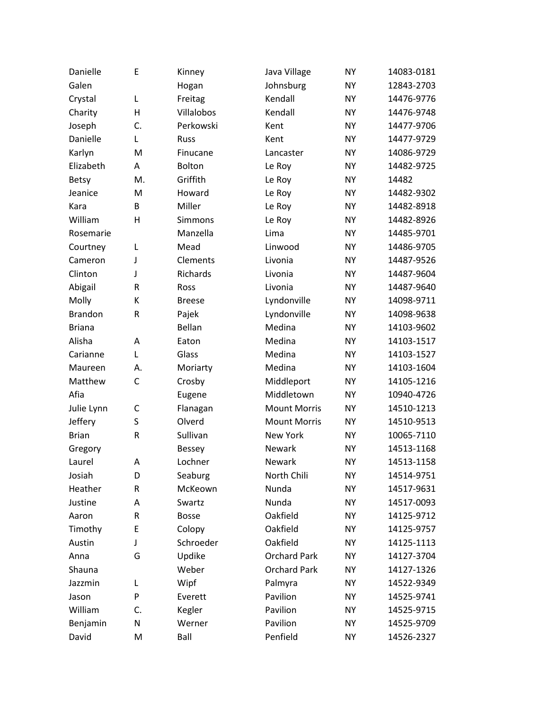| Danielle       | E  | Kinney        | Java Village        | <b>NY</b> | 14083-0181 |
|----------------|----|---------------|---------------------|-----------|------------|
| Galen          |    | Hogan         | Johnsburg           | <b>NY</b> | 12843-2703 |
| Crystal        | L  | Freitag       | Kendall             | NY.       | 14476-9776 |
| Charity        | Η  | Villalobos    | Kendall             | <b>NY</b> | 14476-9748 |
| Joseph         | C. | Perkowski     | Kent                | NY.       | 14477-9706 |
| Danielle       | L  | Russ          | Kent                | <b>NY</b> | 14477-9729 |
| Karlyn         | M  | Finucane      | Lancaster           | NY.       | 14086-9729 |
| Elizabeth      | Α  | Bolton        | Le Roy              | <b>NY</b> | 14482-9725 |
| <b>Betsy</b>   | M. | Griffith      | Le Roy              | <b>NY</b> | 14482      |
| Jeanice        | M  | Howard        | Le Roy              | <b>NY</b> | 14482-9302 |
| Kara           | В  | Miller        | Le Roy              | NY.       | 14482-8918 |
| William        | H  | Simmons       | Le Roy              | <b>NY</b> | 14482-8926 |
| Rosemarie      |    | Manzella      | Lima                | <b>NY</b> | 14485-9701 |
| Courtney       | L  | Mead          | Linwood             | <b>NY</b> | 14486-9705 |
| Cameron        | J  | Clements      | Livonia             | NY.       | 14487-9526 |
| Clinton        | J  | Richards      | Livonia             | <b>NY</b> | 14487-9604 |
| Abigail        | R  | Ross          | Livonia             | NY.       | 14487-9640 |
| Molly          | К  | <b>Breese</b> | Lyndonville         | <b>NY</b> | 14098-9711 |
| <b>Brandon</b> | R  | Pajek         | Lyndonville         | <b>NY</b> | 14098-9638 |
| <b>Briana</b>  |    | Bellan        | Medina              | <b>NY</b> | 14103-9602 |
| Alisha         | Α  | Eaton         | Medina              | NY.       | 14103-1517 |
| Carianne       | L  | Glass         | Medina              | <b>NY</b> | 14103-1527 |
| Maureen        | А. | Moriarty      | Medina              | NY.       | 14103-1604 |
| Matthew        | C  | Crosby        | Middleport          | <b>NY</b> | 14105-1216 |
| Afia           |    | Eugene        | Middletown          | NY.       | 10940-4726 |
| Julie Lynn     | C  | Flanagan      | <b>Mount Morris</b> | <b>NY</b> | 14510-1213 |
| Jeffery        | S  | Olverd        | <b>Mount Morris</b> | NY.       | 14510-9513 |
| <b>Brian</b>   | R  | Sullivan      | <b>New York</b>     | NY.       | 10065-7110 |
| Gregory        |    | Bessey        | Newark              | <b>NY</b> | 14513-1168 |
| Laurel         | Α  | Lochner       | Newark              | <b>NY</b> | 14513-1158 |
| Josiah         | D  | Seaburg       | North Chili         | <b>NY</b> | 14514-9751 |
| Heather        | R  | McKeown       | Nunda               | <b>NY</b> | 14517-9631 |
| Justine        | Α  | Swartz        | Nunda               | <b>NY</b> | 14517-0093 |
| Aaron          | R  | <b>Bosse</b>  | Oakfield            | <b>NY</b> | 14125-9712 |
| Timothy        | E  | Colopy        | Oakfield            | <b>NY</b> | 14125-9757 |
| Austin         | J  | Schroeder     | Oakfield            | <b>NY</b> | 14125-1113 |
| Anna           | G  | Updike        | <b>Orchard Park</b> | <b>NY</b> | 14127-3704 |
| Shauna         |    | Weber         | <b>Orchard Park</b> | <b>NY</b> | 14127-1326 |
| Jazzmin        | L  | Wipf          | Palmyra             | <b>NY</b> | 14522-9349 |
| Jason          | P  | Everett       | Pavilion            | <b>NY</b> | 14525-9741 |
| William        | C. | Kegler        | Pavilion            | <b>NY</b> | 14525-9715 |
| Benjamin       | N  | Werner        | Pavilion            | <b>NY</b> | 14525-9709 |
| David          | M  | Ball          | Penfield            | <b>NY</b> | 14526-2327 |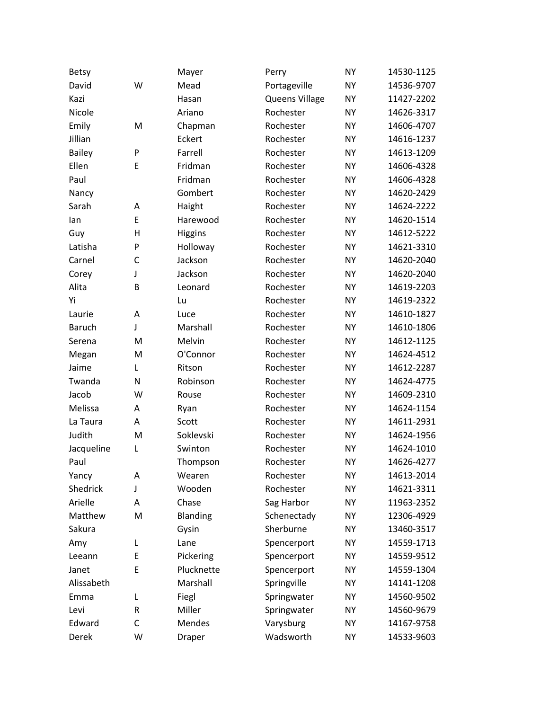| <b>Betsy</b>  |              | Mayer          | Perry          | <b>NY</b> | 14530-1125 |
|---------------|--------------|----------------|----------------|-----------|------------|
| David         | W            | Mead           | Portageville   | <b>NY</b> | 14536-9707 |
| Kazi          |              | Hasan          | Queens Village | <b>NY</b> | 11427-2202 |
| Nicole        |              | Ariano         | Rochester      | <b>NY</b> | 14626-3317 |
| Emily         | M            | Chapman        | Rochester      | <b>NY</b> | 14606-4707 |
| Jillian       |              | Eckert         | Rochester      | <b>NY</b> | 14616-1237 |
| <b>Bailey</b> | P            | Farrell        | Rochester      | <b>NY</b> | 14613-1209 |
| Ellen         | E            | Fridman        | Rochester      | <b>NY</b> | 14606-4328 |
| Paul          |              | Fridman        | Rochester      | <b>NY</b> | 14606-4328 |
| Nancy         |              | Gombert        | Rochester      | <b>NY</b> | 14620-2429 |
| Sarah         | Α            | Haight         | Rochester      | <b>NY</b> | 14624-2222 |
| lan           | E            | Harewood       | Rochester      | <b>NY</b> | 14620-1514 |
| Guy           | $\mathsf{H}$ | <b>Higgins</b> | Rochester      | <b>NY</b> | 14612-5222 |
| Latisha       | P            | Holloway       | Rochester      | <b>NY</b> | 14621-3310 |
| Carnel        | C            | Jackson        | Rochester      | <b>NY</b> | 14620-2040 |
| Corey         | J            | Jackson        | Rochester      | <b>NY</b> | 14620-2040 |
| Alita         | B            | Leonard        | Rochester      | <b>NY</b> | 14619-2203 |
| Yi            |              | Lu             | Rochester      | <b>NY</b> | 14619-2322 |
| Laurie        | A            | Luce           | Rochester      | <b>NY</b> | 14610-1827 |
| <b>Baruch</b> | J            | Marshall       | Rochester      | <b>NY</b> | 14610-1806 |
| Serena        | M            | Melvin         | Rochester      | <b>NY</b> | 14612-1125 |
| Megan         | M            | O'Connor       | Rochester      | <b>NY</b> | 14624-4512 |
| Jaime         | L            | Ritson         | Rochester      | <b>NY</b> | 14612-2287 |
| Twanda        | N            | Robinson       | Rochester      | <b>NY</b> | 14624-4775 |
| Jacob         | W            | Rouse          | Rochester      | <b>NY</b> | 14609-2310 |
| Melissa       | A            | Ryan           | Rochester      | <b>NY</b> | 14624-1154 |
| La Taura      | A            | Scott          | Rochester      | <b>NY</b> | 14611-2931 |
| Judith        | M            | Soklevski      | Rochester      | <b>NY</b> | 14624-1956 |
| Jacqueline    | L            | Swinton        | Rochester      | <b>NY</b> | 14624-1010 |
| Paul          |              | Thompson       | Rochester      | <b>NY</b> | 14626-4277 |
| Yancy         | Α            | Wearen         | Rochester      | <b>NY</b> | 14613-2014 |
| Shedrick      | J            | Wooden         | Rochester      | <b>NY</b> | 14621-3311 |
| Arielle       | Α            | Chase          | Sag Harbor     | <b>NY</b> | 11963-2352 |
| Matthew       | M            | Blanding       | Schenectady    | <b>NY</b> | 12306-4929 |
| Sakura        |              | Gysin          | Sherburne      | <b>NY</b> | 13460-3517 |
| Amy           | L            | Lane           | Spencerport    | <b>NY</b> | 14559-1713 |
| Leeann        | E            | Pickering      | Spencerport    | <b>NY</b> | 14559-9512 |
| Janet         | E            | Plucknette     | Spencerport    | <b>NY</b> | 14559-1304 |
| Alissabeth    |              | Marshall       | Springville    | <b>NY</b> | 14141-1208 |
| Emma          | L            | Fiegl          | Springwater    | <b>NY</b> | 14560-9502 |
| Levi          | R            | Miller         | Springwater    | <b>NY</b> | 14560-9679 |
| Edward        | C            | Mendes         | Varysburg      | <b>NY</b> | 14167-9758 |
| Derek         | W            | Draper         | Wadsworth      | <b>NY</b> | 14533-9603 |